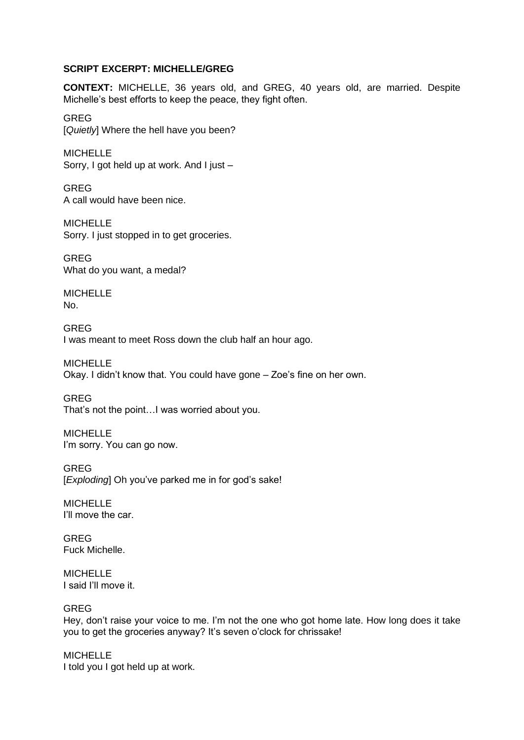## **SCRIPT EXCERPT: MICHELLE/GREG**

**CONTEXT:** MICHELLE, 36 years old, and GREG, 40 years old, are married. Despite Michelle's best efforts to keep the peace, they fight often.

GREG [*Quietly*] Where the hell have you been?

MICHELLE Sorry, I got held up at work. And I just –

GREG A call would have been nice.

**MICHELLE** Sorry. I just stopped in to get groceries.

GREG What do you want, a medal?

MICHELLE No.

GREG I was meant to meet Ross down the club half an hour ago.

MICHELLE Okay. I didn't know that. You could have gone – Zoe's fine on her own.

GREG That's not the point…I was worried about you.

MICHELLE I'm sorry. You can go now.

GREG [*Exploding*] Oh you've parked me in for god's sake!

**MICHELLE** I'll move the car.

GREG Fuck Michelle.

MICHELLE I said I'll move it.

GREG

Hey, don't raise your voice to me. I'm not the one who got home late. How long does it take you to get the groceries anyway? It's seven o'clock for chrissake!

**MICHELLE** I told you I got held up at work.